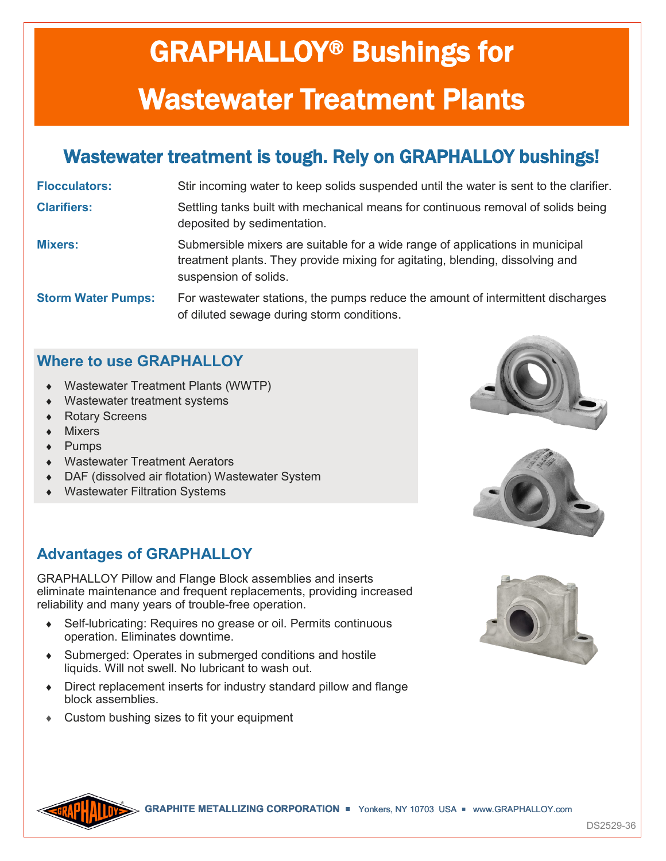# GRAPHALLOY® Bushings for Wastewater Treatment Plants

## Wastewater treatment is tough. Rely on GRAPHALLOY bushings!

**Flocculators:** Stir incoming water to keep solids suspended until the water is sent to the clarifier.

**Clarifiers:** Settling tanks built with mechanical means for continuous removal of solids being deposited by sedimentation.

**Mixers:** Submersible mixers are suitable for a wide range of applications in municipal treatment plants. They provide mixing for agitating, blending, dissolving and suspension of solids.

**Storm Water Pumps:** For wastewater stations, the pumps reduce the amount of intermittent discharges of diluted sewage during storm conditions.

#### **Where to use GRAPHALLOY**

- Wastewater Treatment Plants (WWTP)
- Wastewater treatment systems
- Rotary Screens
- Mixers
- ◆ Pumps
- Wastewater Treatment Aerators
- DAF (dissolved air flotation) Wastewater System
- Wastewater Filtration Systems

### **Advantages of GRAPHALLOY**

GRAPHALLOY Pillow and Flange Block assemblies and inserts eliminate maintenance and frequent replacements, providing increased reliability and many years of trouble-free operation.

- Self-lubricating: Requires no grease or oil. Permits continuous operation. Eliminates downtime.
- Submerged: Operates in submerged conditions and hostile liquids. Will not swell. No lubricant to wash out.
- Direct replacement inserts for industry standard pillow and flange block assemblies.
- Custom bushing sizes to fit your equipment









**GRAPHITE METALLIZING CORPORATION <b>P** Yonkers, NY 10703 USA **P** www.GRAPHALLOY.com